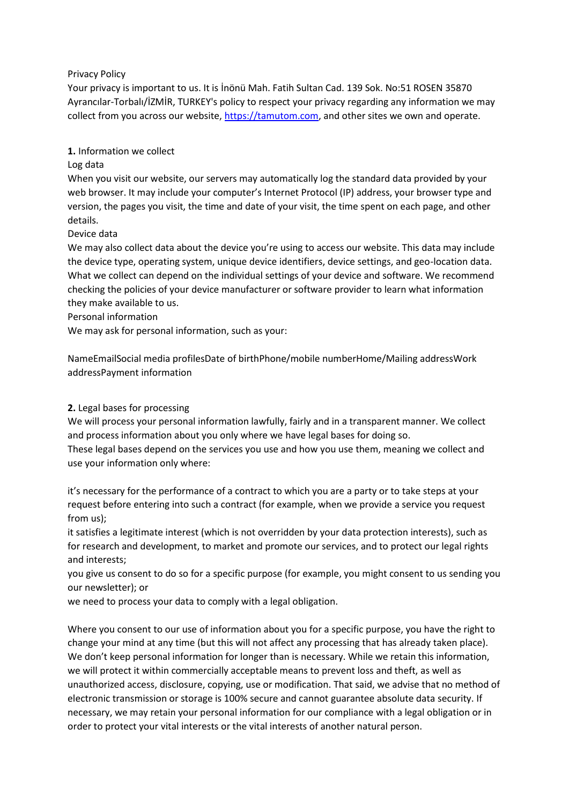# Privacy Policy

Your privacy is important to us. It is İnönü Mah. Fatih Sultan Cad. 139 Sok. No:51 ROSEN 35870 Ayrancılar-Torbalı/İZMİR, TURKEY's policy to respect your privacy regarding any information we may collect from you across our website, [https://tamutom.com,](https://tamutom.com/) and other sites we own and operate.

## **1.** Information we collect

## Log data

When you visit our website, our servers may automatically log the standard data provided by your web browser. It may include your computer's Internet Protocol (IP) address, your browser type and version, the pages you visit, the time and date of your visit, the time spent on each page, and other details.

## Device data

We may also collect data about the device you're using to access our website. This data may include the device type, operating system, unique device identifiers, device settings, and geo-location data. What we collect can depend on the individual settings of your device and software. We recommend checking the policies of your device manufacturer or software provider to learn what information they make available to us.

## Personal information

We may ask for personal information, such as your:

NameEmailSocial media profilesDate of birthPhone/mobile numberHome/Mailing addressWork addressPayment information

# **2.** Legal bases for processing

We will process your personal information lawfully, fairly and in a transparent manner. We collect and process information about you only where we have legal bases for doing so.

These legal bases depend on the services you use and how you use them, meaning we collect and use your information only where:

it's necessary for the performance of a contract to which you are a party or to take steps at your request before entering into such a contract (for example, when we provide a service you request from us);

it satisfies a legitimate interest (which is not overridden by your data protection interests), such as for research and development, to market and promote our services, and to protect our legal rights and interests;

you give us consent to do so for a specific purpose (for example, you might consent to us sending you our newsletter); or

we need to process your data to comply with a legal obligation.

Where you consent to our use of information about you for a specific purpose, you have the right to change your mind at any time (but this will not affect any processing that has already taken place). We don't keep personal information for longer than is necessary. While we retain this information, we will protect it within commercially acceptable means to prevent loss and theft, as well as unauthorized access, disclosure, copying, use or modification. That said, we advise that no method of electronic transmission or storage is 100% secure and cannot guarantee absolute data security. If necessary, we may retain your personal information for our compliance with a legal obligation or in order to protect your vital interests or the vital interests of another natural person.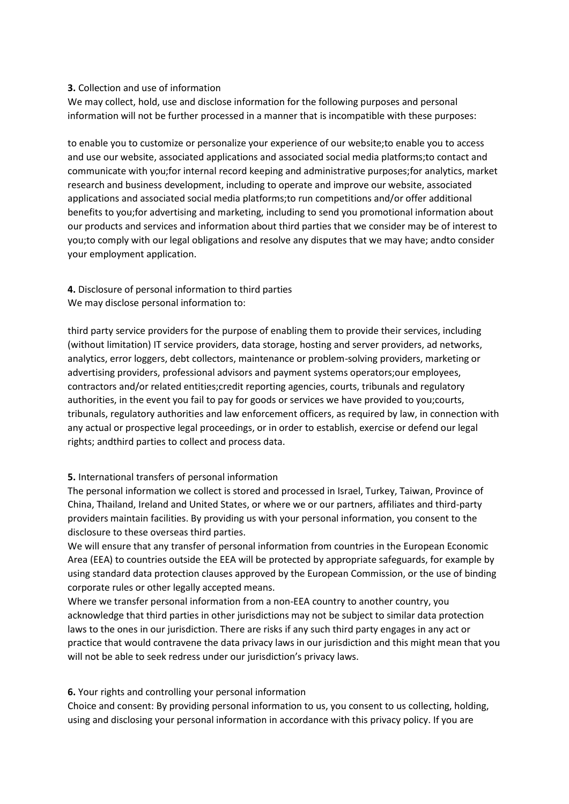### **3.** Collection and use of information

We may collect, hold, use and disclose information for the following purposes and personal information will not be further processed in a manner that is incompatible with these purposes:

to enable you to customize or personalize your experience of our website;to enable you to access and use our website, associated applications and associated social media platforms;to contact and communicate with you;for internal record keeping and administrative purposes;for analytics, market research and business development, including to operate and improve our website, associated applications and associated social media platforms;to run competitions and/or offer additional benefits to you;for advertising and marketing, including to send you promotional information about our products and services and information about third parties that we consider may be of interest to you;to comply with our legal obligations and resolve any disputes that we may have; andto consider your employment application.

# **4.** Disclosure of personal information to third parties We may disclose personal information to:

third party service providers for the purpose of enabling them to provide their services, including (without limitation) IT service providers, data storage, hosting and server providers, ad networks, analytics, error loggers, debt collectors, maintenance or problem-solving providers, marketing or advertising providers, professional advisors and payment systems operators;our employees, contractors and/or related entities;credit reporting agencies, courts, tribunals and regulatory authorities, in the event you fail to pay for goods or services we have provided to you;courts, tribunals, regulatory authorities and law enforcement officers, as required by law, in connection with any actual or prospective legal proceedings, or in order to establish, exercise or defend our legal rights; andthird parties to collect and process data.

# **5.** International transfers of personal information

The personal information we collect is stored and processed in Israel, Turkey, Taiwan, Province of China, Thailand, Ireland and United States, or where we or our partners, affiliates and third-party providers maintain facilities. By providing us with your personal information, you consent to the disclosure to these overseas third parties.

We will ensure that any transfer of personal information from countries in the European Economic Area (EEA) to countries outside the EEA will be protected by appropriate safeguards, for example by using standard data protection clauses approved by the European Commission, or the use of binding corporate rules or other legally accepted means.

Where we transfer personal information from a non-EEA country to another country, you acknowledge that third parties in other jurisdictions may not be subject to similar data protection laws to the ones in our jurisdiction. There are risks if any such third party engages in any act or practice that would contravene the data privacy laws in our jurisdiction and this might mean that you will not be able to seek redress under our jurisdiction's privacy laws.

# **6.** Your rights and controlling your personal information

Choice and consent: By providing personal information to us, you consent to us collecting, holding, using and disclosing your personal information in accordance with this privacy policy. If you are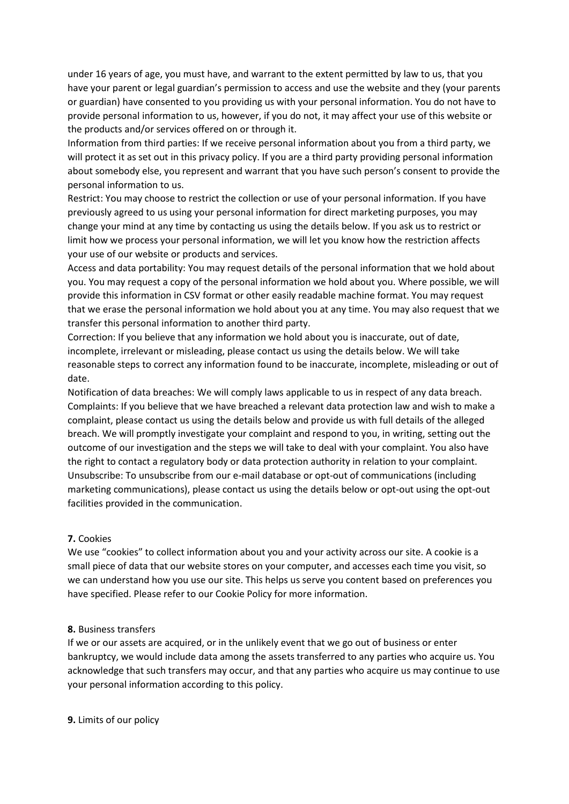under 16 years of age, you must have, and warrant to the extent permitted by law to us, that you have your parent or legal guardian's permission to access and use the website and they (your parents or guardian) have consented to you providing us with your personal information. You do not have to provide personal information to us, however, if you do not, it may affect your use of this website or the products and/or services offered on or through it.

Information from third parties: If we receive personal information about you from a third party, we will protect it as set out in this privacy policy. If you are a third party providing personal information about somebody else, you represent and warrant that you have such person's consent to provide the personal information to us.

Restrict: You may choose to restrict the collection or use of your personal information. If you have previously agreed to us using your personal information for direct marketing purposes, you may change your mind at any time by contacting us using the details below. If you ask us to restrict or limit how we process your personal information, we will let you know how the restriction affects your use of our website or products and services.

Access and data portability: You may request details of the personal information that we hold about you. You may request a copy of the personal information we hold about you. Where possible, we will provide this information in CSV format or other easily readable machine format. You may request that we erase the personal information we hold about you at any time. You may also request that we transfer this personal information to another third party.

Correction: If you believe that any information we hold about you is inaccurate, out of date, incomplete, irrelevant or misleading, please contact us using the details below. We will take reasonable steps to correct any information found to be inaccurate, incomplete, misleading or out of date.

Notification of data breaches: We will comply laws applicable to us in respect of any data breach. Complaints: If you believe that we have breached a relevant data protection law and wish to make a complaint, please contact us using the details below and provide us with full details of the alleged breach. We will promptly investigate your complaint and respond to you, in writing, setting out the outcome of our investigation and the steps we will take to deal with your complaint. You also have the right to contact a regulatory body or data protection authority in relation to your complaint. Unsubscribe: To unsubscribe from our e-mail database or opt-out of communications (including marketing communications), please contact us using the details below or opt-out using the opt-out facilities provided in the communication.

### **7.** Cookies

We use "cookies" to collect information about you and your activity across our site. A cookie is a small piece of data that our website stores on your computer, and accesses each time you visit, so we can understand how you use our site. This helps us serve you content based on preferences you have specified. Please refer to our Cookie Policy for more information.

### **8.** Business transfers

If we or our assets are acquired, or in the unlikely event that we go out of business or enter bankruptcy, we would include data among the assets transferred to any parties who acquire us. You acknowledge that such transfers may occur, and that any parties who acquire us may continue to use your personal information according to this policy.

### **9.** Limits of our policy